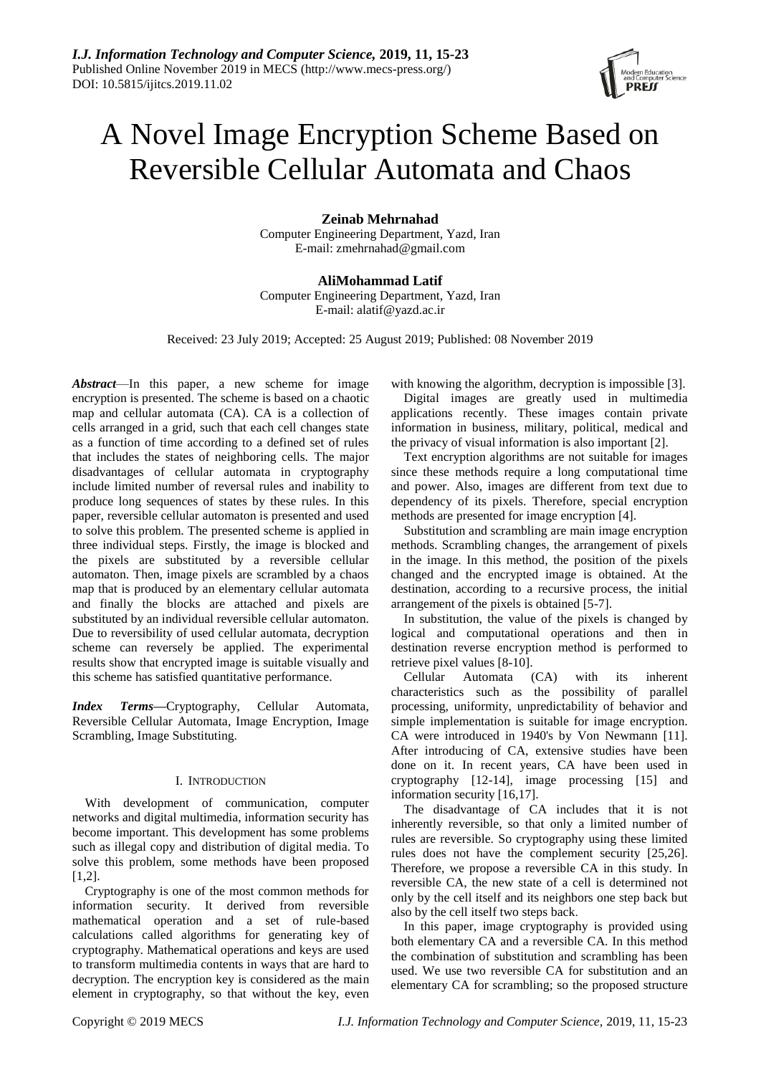# A Novel Image Encryption Scheme Based on Reversible Cellular Automata and Chaos

**Zeinab Mehrnahad**

Computer Engineering Department, Yazd, Iran E-mail: zmehrnahad@gmail.com

**AliMohammad Latif** Computer Engineering Department, Yazd, Iran E-mail: alatif@yazd.ac.ir

Received: 23 July 2019; Accepted: 25 August 2019; Published: 08 November 2019

*Abstract*—In this paper, a new scheme for image encryption is presented. The scheme is based on a chaotic map and cellular automata (CA). CA is a collection of cells arranged in a grid, such that each cell changes state as a function of time according to a defined set of rules that includes the states of neighboring cells. The major disadvantages of cellular automata in cryptography include limited number of reversal rules and inability to produce long sequences of states by these rules. In this paper, reversible cellular automaton is presented and used to solve this problem. The presented scheme is applied in three individual steps. Firstly, the image is blocked and the pixels are substituted by a reversible cellular automaton. Then, image pixels are scrambled by a chaos map that is produced by an elementary cellular automata and finally the blocks are attached and pixels are substituted by an individual reversible cellular automaton. Due to reversibility of used cellular automata, decryption scheme can reversely be applied. The experimental results show that encrypted image is suitable visually and this scheme has satisfied quantitative performance.

*Index Terms***—**Cryptography, Cellular Automata, Reversible Cellular Automata, Image Encryption, Image Scrambling, Image Substituting.

# I. INTRODUCTION

With development of communication, computer networks and digital multimedia, information security has become important. This development has some problems such as illegal copy and distribution of digital media. To solve this problem, some methods have been proposed [1,2].

Cryptography is one of the most common methods for information security. It derived from reversible mathematical operation and a set of rule-based calculations called algorithms for generating key of cryptography. Mathematical operations and keys are used to transform multimedia contents in ways that are hard to decryption. The encryption key is considered as the main element in cryptography, so that without the key, even with knowing the algorithm, decryption is impossible [3].

Digital images are greatly used in multimedia applications recently. These images contain private information in business, military, political, medical and the privacy of visual information is also important [2].

Text encryption algorithms are not suitable for images since these methods require a long computational time and power. Also, images are different from text due to dependency of its pixels. Therefore, special encryption methods are presented for image encryption [4].

Substitution and scrambling are main image encryption methods. Scrambling changes, the arrangement of pixels in the image. In this method, the position of the pixels changed and the encrypted image is obtained. At the destination, according to a recursive process, the initial arrangement of the pixels is obtained [5-7].

In substitution, the value of the pixels is changed by logical and computational operations and then in destination reverse encryption method is performed to retrieve pixel values [8-10].

Cellular Automata (CA) with its inherent characteristics such as the possibility of parallel processing, uniformity, unpredictability of behavior and simple implementation is suitable for image encryption. CA were introduced in 1940's by Von Newmann [11]. After introducing of CA, extensive studies have been done on it. In recent years, CA have been used in cryptography [12-14], image processing [15] and information security [16,17].

The disadvantage of CA includes that it is not inherently reversible, so that only a limited number of rules are reversible. So cryptography using these limited rules does not have the complement security [25,26]. Therefore, we propose a reversible CA in this study. In reversible CA, the new state of a cell is determined not only by the cell itself and its neighbors one step back but also by the cell itself two steps back.

In this paper, image cryptography is provided using both elementary CA and a reversible CA. In this method the combination of substitution and scrambling has been used. We use two reversible CA for substitution and an elementary CA for scrambling; so the proposed structure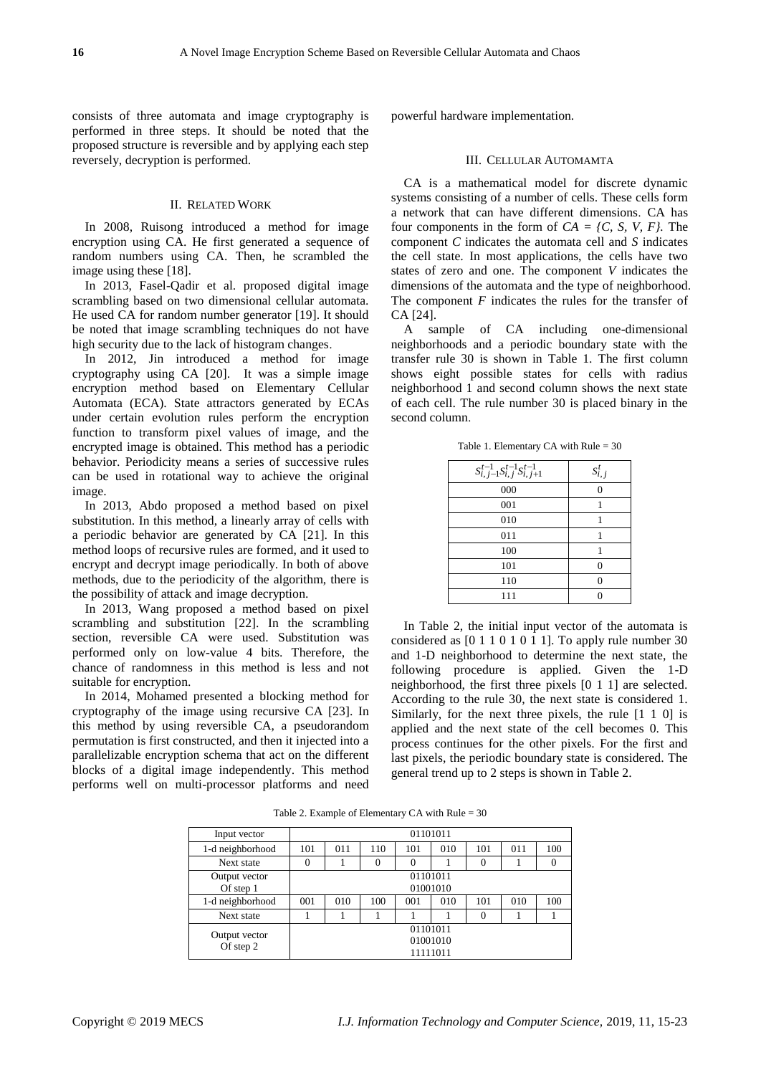consists of three automata and image cryptography is performed in three steps. It should be noted that the proposed structure is reversible and by applying each step reversely, decryption is performed.

# II. RELATED WORK

In 2008, Ruisong introduced a method for image encryption using CA. He first generated a sequence of random numbers using CA. Then, he scrambled the image using these [18].

In 2013, Fasel-Qadir et al. proposed digital image scrambling based on two dimensional cellular automata. He used CA for random number generator [19]. It should be noted that image scrambling techniques do not have high security due to the lack of histogram changes.

In 2012, Jin introduced a method for image cryptography using CA [20]. It was a simple image encryption method based on Elementary Cellular Automata (ECA). State attractors generated by ECAs under certain evolution rules perform the encryption function to transform pixel values of image, and the encrypted image is obtained. This method has a periodic behavior. Periodicity means a series of successive rules can be used in rotational way to achieve the original image.

In 2013, Abdo proposed a method based on pixel substitution. In this method, a linearly array of cells with a periodic behavior are generated by CA [21]. In this method loops of recursive rules are formed, and it used to encrypt and decrypt image periodically. In both of above methods, due to the periodicity of the algorithm, there is the possibility of attack and image decryption.

In 2013, Wang proposed a method based on pixel scrambling and substitution [22]. In the scrambling section, reversible CA were used. Substitution was performed only on low-value 4 bits. Therefore, the chance of randomness in this method is less and not suitable for encryption.

In 2014, Mohamed presented a blocking method for cryptography of the image using recursive CA [23]. In this method by using reversible CA, a pseudorandom permutation is first constructed, and then it injected into a parallelizable encryption schema that act on the different blocks of a digital image independently. This method performs well on multi-processor platforms and need

powerful hardware implementation.

# III. CELLULAR AUTOMAMTA

CA is a mathematical model for discrete dynamic systems consisting of a number of cells. These cells form a network that can have different dimensions. CA has four components in the form of  $CA = \{C, S, V, F\}$ . The component *C* indicates the automata cell and *S* indicates the cell state. In most applications, the cells have two states of zero and one. The component *V* indicates the dimensions of the automata and the type of neighborhood. The component *F* indicates the rules for the transfer of CA [24].

A sample of CA including one-dimensional neighborhoods and a periodic boundary state with the transfer rule 30 is shown in Table 1. The first column shows eight possible states for cells with radius neighborhood 1 and second column shows the next state of each cell. The rule number 30 is placed binary in the second column.

Table 1. Elementary CA with Rule = 30

| $S_{i,j-1}^{t-1} S_{i,j}^{t-1} S_{i,j+1}^{t-1}$ | $S_{i,j}^t$ |
|-------------------------------------------------|-------------|
| 000                                             |             |
| 001                                             |             |
| 010                                             |             |
| 011                                             |             |
| 100                                             |             |
| 101                                             | $\Omega$    |
| 110                                             |             |
| 111                                             |             |

In Table 2, the initial input vector of the automata is considered as [0 1 1 0 1 0 1 1]. To apply rule number 30 and 1-D neighborhood to determine the next state, the following procedure is applied. Given the 1-D neighborhood, the first three pixels [0 1 1] are selected. According to the rule 30, the next state is considered 1. Similarly, for the next three pixels, the rule [1 1 0] is applied and the next state of the cell becomes 0. This process continues for the other pixels. For the first and last pixels, the periodic boundary state is considered. The general trend up to 2 steps is shown in Table 2.

Table 2. Example of Elementary CA with Rule = 30

| Input vector               | 01101011                         |                      |          |          |     |          |     |     |
|----------------------------|----------------------------------|----------------------|----------|----------|-----|----------|-----|-----|
| 1-d neighborhood           | 101                              | 011                  | 110      | 101      | 010 | 101      | 011 | 100 |
| Next state                 | $\theta$                         |                      | $\Omega$ | $\Omega$ |     | $\Omega$ |     |     |
| Output vector<br>Of step 1 |                                  | 01101011<br>01001010 |          |          |     |          |     |     |
| 1-d neighborhood           | 001                              | 010                  | 100      | 001      | 010 | 101      | 010 | 100 |
| Next state                 |                                  |                      |          |          |     | $\Omega$ |     |     |
| Output vector<br>Of step 2 | 01101011<br>01001010<br>11111011 |                      |          |          |     |          |     |     |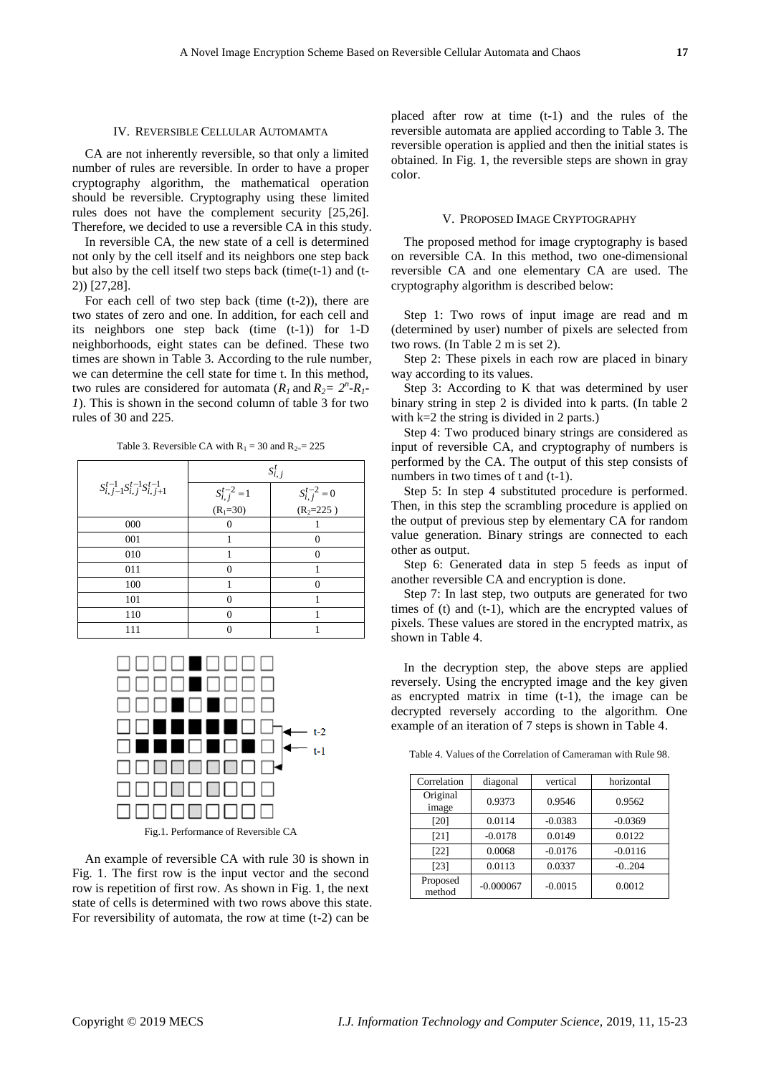#### IV. REVERSIBLE CELLULAR AUTOMAMTA

CA are not inherently reversible, so that only a limited number of rules are reversible. In order to have a proper cryptography algorithm, the mathematical operation should be reversible. Cryptography using these limited rules does not have the complement security [25,26]. Therefore, we decided to use a reversible CA in this study.

In reversible CA, the new state of a cell is determined not only by the cell itself and its neighbors one step back but also by the cell itself two steps back (time(t-1) and (t-2)) [27,28].

For each cell of two step back (time  $(t-2)$ ), there are two states of zero and one. In addition, for each cell and its neighbors one step back (time  $(t-1)$ ) for 1-D neighborhoods, eight states can be defined. These two times are shown in Table 3. According to the rule number, we can determine the cell state for time t. In this method, two rules are considered for automata  $(R_1 \text{ and } R_2 = 2^n - R_1 - n)$ *1*). This is shown in the second column of table 3 for two rules of 30 and 225.

Table 3. Reversible CA with  $R_1 = 30$  and  $R_2 = 225$ 

|                                               | $S_{i,j}^t$                                 |                                              |  |  |
|-----------------------------------------------|---------------------------------------------|----------------------------------------------|--|--|
| $S_{i,j-1}^{t-1}S_{i,j}^{t-1}S_{i,j+1}^{t-1}$ | $S_{i,j}^{t-2} = 1$<br>(R <sub>1</sub> =30) | $S_{i,j}^{t-2} = 0$<br>(R <sub>2</sub> =225) |  |  |
|                                               |                                             |                                              |  |  |
| 000                                           | $\Omega$                                    |                                              |  |  |
| 001                                           |                                             | 0                                            |  |  |
| 010                                           |                                             | $\Omega$                                     |  |  |
| 011                                           | $\Omega$                                    |                                              |  |  |
| 100                                           |                                             |                                              |  |  |
| 101                                           | $\Omega$                                    |                                              |  |  |
| 110                                           | $\Omega$                                    |                                              |  |  |
| 111                                           |                                             |                                              |  |  |



An example of reversible CA with rule 30 is shown in Fig. 1. The first row is the input vector and the second row is repetition of first row. As shown in Fig. 1, the next state of cells is determined with two rows above this state. For reversibility of automata, the row at time (t-2) can be

placed after row at time (t-1) and the rules of the reversible automata are applied according to Table 3. The reversible operation is applied and then the initial states is obtained. In Fig. 1, the reversible steps are shown in gray color.

#### V. PROPOSED IMAGE CRYPTOGRAPHY

The proposed method for image cryptography is based on reversible CA. In this method, two one-dimensional reversible CA and one elementary CA are used. The cryptography algorithm is described below:

Step 1: Two rows of input image are read and m (determined by user) number of pixels are selected from two rows. (In Table 2 m is set 2).

Step 2: These pixels in each row are placed in binary way according to its values.

Step 3: According to K that was determined by user binary string in step 2 is divided into k parts. (In table 2 with k=2 the string is divided in 2 parts.)

Step 4: Two produced binary strings are considered as input of reversible CA, and cryptography of numbers is performed by the CA. The output of this step consists of numbers in two times of t and (t-1).

Step 5: In step 4 substituted procedure is performed. Then, in this step the scrambling procedure is applied on the output of previous step by elementary CA for random value generation. Binary strings are connected to each other as output.

Step 6: Generated data in step 5 feeds as input of another reversible CA and encryption is done.

Step 7: In last step, two outputs are generated for two times of (t) and (t-1), which are the encrypted values of pixels. These values are stored in the encrypted matrix, as shown in Table 4.

In the decryption step, the above steps are applied reversely. Using the encrypted image and the key given as encrypted matrix in time (t-1), the image can be decrypted reversely according to the algorithm. One example of an iteration of 7 steps is shown in Table 4.

Table 4. Values of the Correlation of Cameraman with Rule 98.

| Correlation        | diagonal    | vertical  | horizontal |
|--------------------|-------------|-----------|------------|
| Original<br>image  | 0.9373      | 0.9546    | 0.9562     |
| [20]               | 0.0114      | $-0.0383$ | $-0.0369$  |
| [21]               | $-0.0178$   | 0.0149    | 0.0122     |
| $[22]$             | 0.0068      | $-0.0176$ | $-0.0116$  |
| $[23]$             | 0.0113      | 0.0337    | $-0.204$   |
| Proposed<br>method | $-0.000067$ | $-0.0015$ | 0.0012     |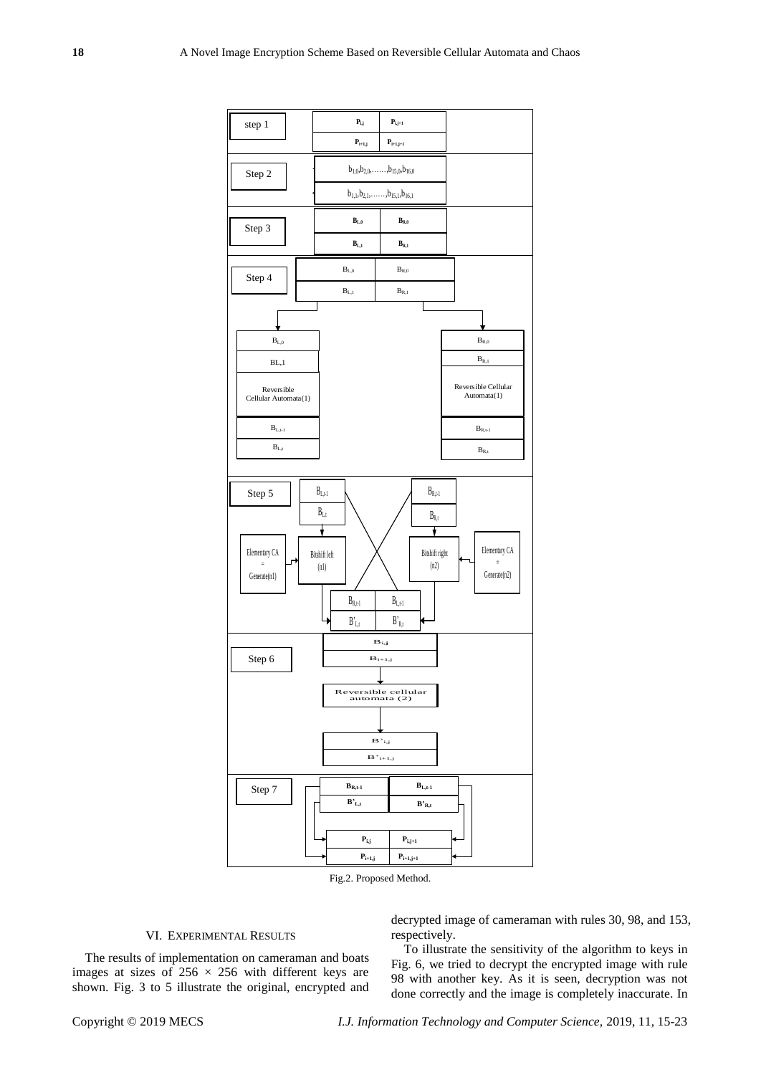

Fig.2. Proposed Method.

# VI. EXPERIMENTAL RESULTS

The results of implementation on cameraman and boats images at sizes of  $256 \times 256$  with different keys are shown. Fig. 3 to 5 illustrate the original, encrypted and decrypted image of cameraman with rules 30, 98, and 153, respectively.

To illustrate the sensitivity of the algorithm to keys in Fig. 6, we tried to decrypt the encrypted image with rule 98 with another key. As it is seen, decryption was not done correctly and the image is completely inaccurate. In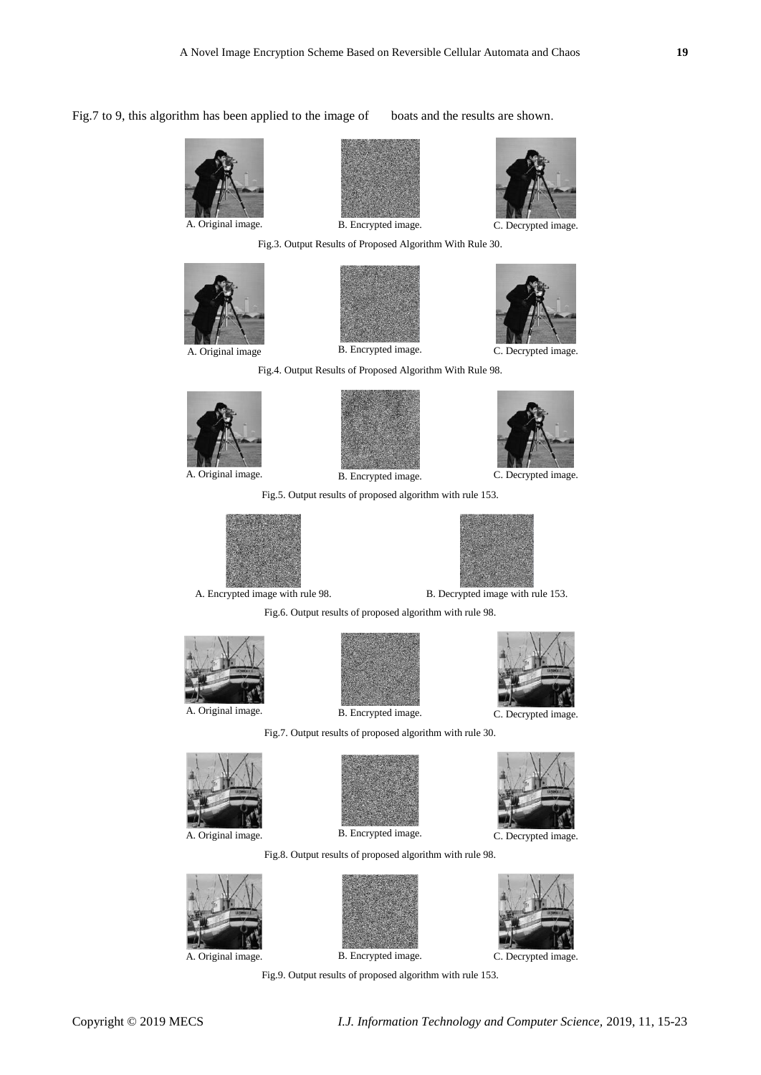Fig.7 to 9, this algorithm has been applied to the image of boats and the results are shown.









Fig.3. Output Results of Proposed Algorithm With Rule 30.



Fig.4. Output Results of Proposed Algorithm With Rule 98.



A. Original image. B. Encrypted image. C. Decrypted image.



Fig.5. Output results of proposed algorithm with rule 153.





A. Encrypted image with rule 98. B. Decrypted image with rule 153.

Fig.6. Output results of proposed algorithm with rule 98.





A. Original image. B. Encrypted image. C. Decrypted image.









Fig.8. Output results of proposed algorithm with rule 98.

Fig.9. Output results of proposed algorithm with rule 153.







A. Original image. B. Encrypted image. C. Decrypted image.

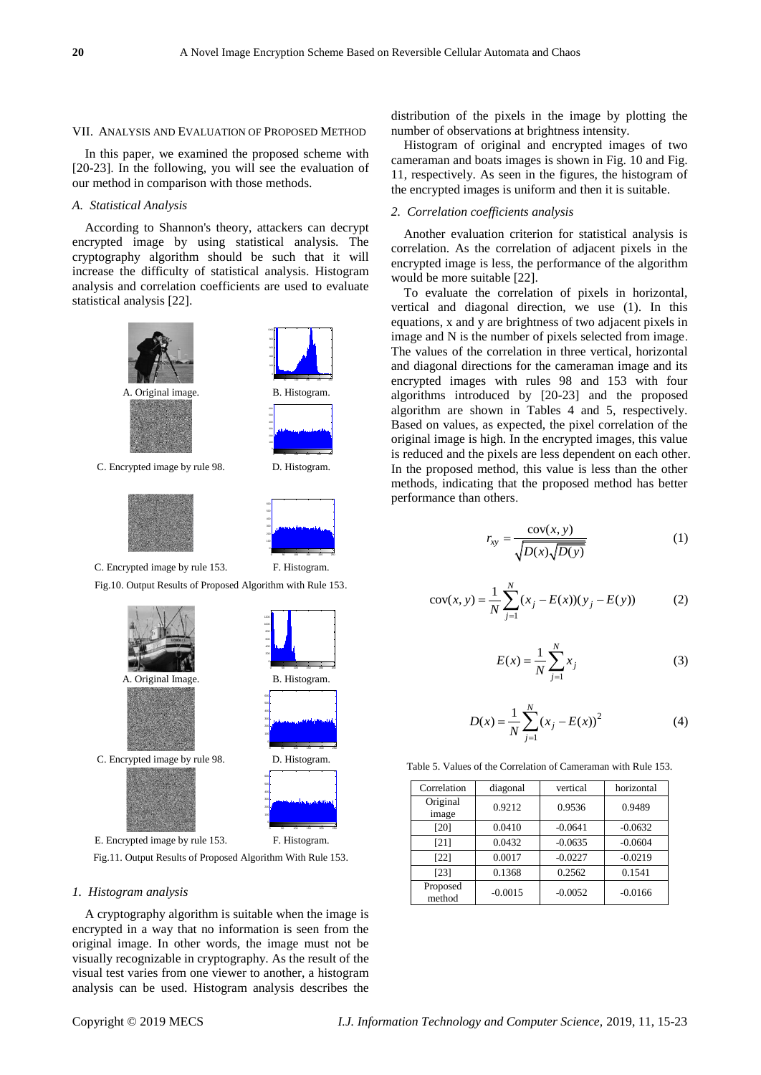#### VII. ANALYSIS AND EVALUATION OF PROPOSED METHOD

In this paper, we examined the proposed scheme with [20-23]. In the following, you will see the evaluation of our method in comparison with those methods.

# *A. Statistical Analysis*

According to Shannon's theory, attackers can decrypt encrypted image by using statistical analysis. The cryptography algorithm should be such that it will increase the difficulty of statistical analysis. Histogram analysis and correlation coefficients are used to evaluate statistical analysis [22].





C. Encrypted image by rule 153. F. Histogram.

Fig.10. Output Results of Proposed Algorithm with Rule 153.

0 50 100 150 200 250



Fig.11. Output Results of Proposed Algorithm With Rule 153.

# *1. Histogram analysis*

A cryptography algorithm is suitable when the image is encrypted in a way that no information is seen from the original image. In other words, the image must not be visually recognizable in cryptography. As the result of the visual test varies from one viewer to another, a histogram analysis can be used. Histogram analysis describes the distribution of the pixels in the image by plotting the number of observations at brightness intensity.

Histogram of original and encrypted images of two cameraman and boats images is shown in Fig. 10 and Fig. 11, respectively. As seen in the figures, the histogram of the encrypted images is uniform and then it is suitable.

# *2. Correlation coefficients analysis*

Another evaluation criterion for statistical analysis is correlation. As the correlation of adjacent pixels in the encrypted image is less, the performance of the algorithm would be more suitable [22].

To evaluate the correlation of pixels in horizontal, vertical and diagonal direction, we use (1). In this equations, x and y are brightness of two adjacent pixels in image and N is the number of pixels selected from image. The values of the correlation in three vertical, horizontal and diagonal directions for the cameraman image and its encrypted images with rules 98 and 153 with four algorithms introduced by [20-23] and the proposed algorithm are shown in Tables 4 and 5, respectively. Based on values, as expected, the pixel correlation of the original image is high. In the encrypted images, this value is reduced and the pixels are less dependent on each other. In the proposed method, this value is less than the other methods, indicating that the proposed method has better performance than others.

$$
r_{xy} = \frac{\text{cov}(x, y)}{\sqrt{D(x)\sqrt{D(y)}}}
$$
 (1)

$$
cov(x, y) = \frac{1}{N} \sum_{j=1}^{N} (x_j - E(x))(y_j - E(y))
$$
 (2)

$$
E(x) = \frac{1}{N} \sum_{j=1}^{N} x_j
$$
 (3)

$$
D(x) = \frac{1}{N} \sum_{j=1}^{N} (x_j - E(x))^2
$$
 (4)

Table 5. Values of the Correlation of Cameraman with Rule 153.

| Correlation        | diagonal  | vertical  | horizontal |
|--------------------|-----------|-----------|------------|
| Original<br>image  | 0.9212    | 0.9536    | 0.9489     |
| [20]               | 0.0410    | $-0.0641$ | $-0.0632$  |
| [21]               | 0.0432    | $-0.0635$ | $-0.0604$  |
| $[22]$             | 0.0017    | $-0.0227$ | $-0.0219$  |
| $[23]$             | 0.1368    | 0.2562    | 0.1541     |
| Proposed<br>method | $-0.0015$ | $-0.0052$ | $-0.0166$  |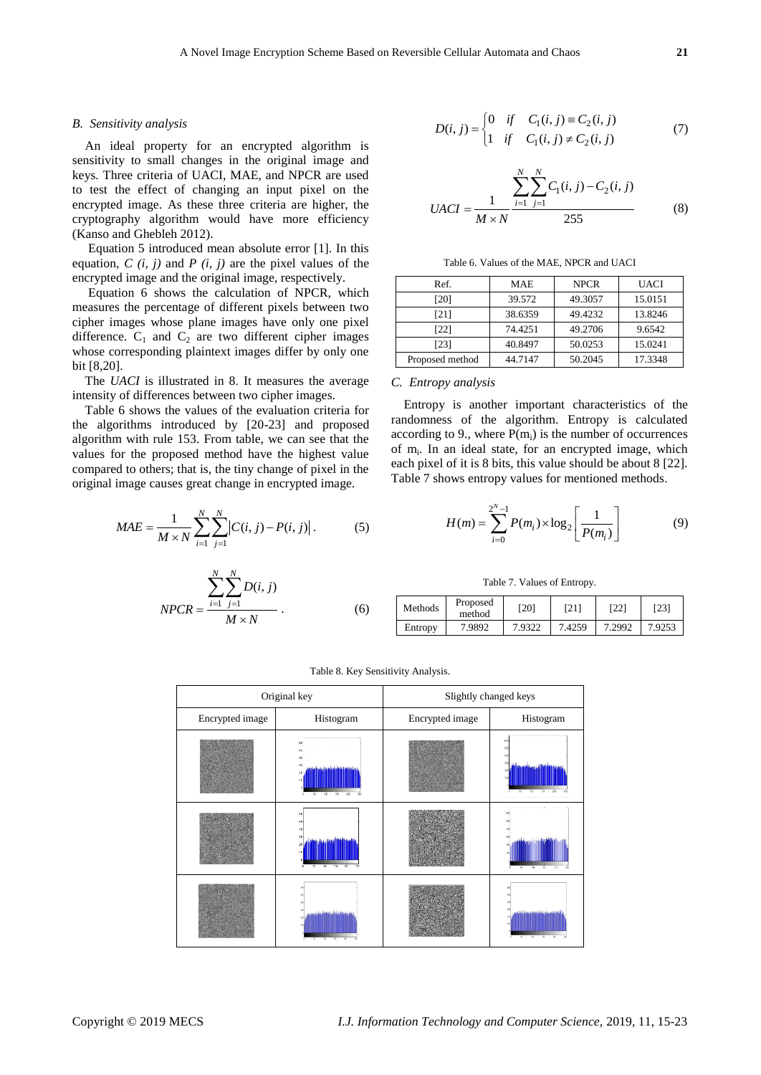### *B. Sensitivity analysis*

An ideal property for an encrypted algorithm is sensitivity to small changes in the original image and keys. Three criteria of UACI, MAE, and NPCR are used to test the effect of changing an input pixel on the encrypted image. As these three criteria are higher, the cryptography algorithm would have more efficiency (Kanso and Ghebleh 2012).

Equation 5 introduced mean absolute error [1]. In this equation,  $C(i, j)$  and  $P(i, j)$  are the pixel values of the encrypted image and the original image, respectively.

Equation 6 shows the calculation of NPCR, which measures the percentage of different pixels between two cipher images whose plane images have only one pixel difference.  $C_1$  and  $C_2$  are two different cipher images whose corresponding plaintext images differ by only one bit [8,20].

The *UACI* is illustrated in 8. It measures the average intensity of differences between two cipher images.

Table 6 shows the values of the evaluation criteria for the algorithms introduced by [20-23] and proposed algorithm with rule 153. From table, we can see that the values for the proposed method have the highest value compared to others; that is, the tiny change of pixel in the original image causes great change in encrypted image.

$$
MAE = \frac{1}{M \times N} \sum_{i=1}^{N} \sum_{j=1}^{N} |C(i, j) - P(i, j)|.
$$
 (5)

$$
NPCR = \frac{\sum_{i=1}^{N} \sum_{j=1}^{N} D(i, j)}{M \times N}
$$
 (6)

$$
D(i, j) = \begin{cases} 0 & \text{if } C_1(i, j) \equiv C_2(i, j) \\ 1 & \text{if } C_1(i, j) \neq C_2(i, j) \end{cases}
$$
(7)

$$
UACI = \frac{1}{M \times N} \frac{\sum_{i=1}^{N} \sum_{j=1}^{N} C_1(i, j) - C_2(i, j)}{255}
$$
 (8)

Table 6. Values of the MAE, NPCR and UACI

| Ref.            | MAE     | <b>NPCR</b> | UACI    |
|-----------------|---------|-------------|---------|
| [20]            | 39.572  | 49.3057     | 15.0151 |
| [21]            | 38.6359 | 49.4232     | 13.8246 |
| [22]            | 74.4251 | 49.2706     | 9.6542  |
| [23]            | 40.8497 | 50.0253     | 15.0241 |
| Proposed method | 44.7147 | 50.2045     | 17.3348 |

#### *C. Entropy analysis*

Entropy is another important characteristics of the randomness of the algorithm. Entropy is calculated according to 9., where  $P(m_i)$  is the number of occurrences of m<sub>i</sub>. In an ideal state, for an encrypted image, which each pixel of it is 8 bits, this value should be about 8 [22]. Table 7 shows entropy values for mentioned methods.

$$
H(m) = \sum_{i=0}^{2^{N}-1} P(m_i) \times \log_2 \left[ \frac{1}{P(m_i)} \right]
$$
 (9)

Table 7. Values of Entropy.

| Methods | Proposed<br>method | [20]   | [21]   | [22]   | [23]   |
|---------|--------------------|--------|--------|--------|--------|
| Entropy | 7.9892             | 7.9322 | 7.4259 | 7.2992 | 7.9253 |

|                 | Original key                                                                         | Slightly changed keys |                               |  |
|-----------------|--------------------------------------------------------------------------------------|-----------------------|-------------------------------|--|
| Encrypted image | Histogram                                                                            | Encrypted image       | Histogram                     |  |
|                 | $cx -$<br>8X)<br>œ<br>300<br>20<br>100<br>153<br>$\overline{\mathbf{x}}$<br>53<br>79 |                       | 153<br>O<br>x<br>$\mathbf{r}$ |  |
|                 | -378<br>$\overline{11}$<br>738<br>$\overline{\mathbf{a}}$<br>27<br>$\mathbf{u}$<br>n |                       |                               |  |
|                 |                                                                                      |                       |                               |  |

Table 8. Key Sensitivity Analysis.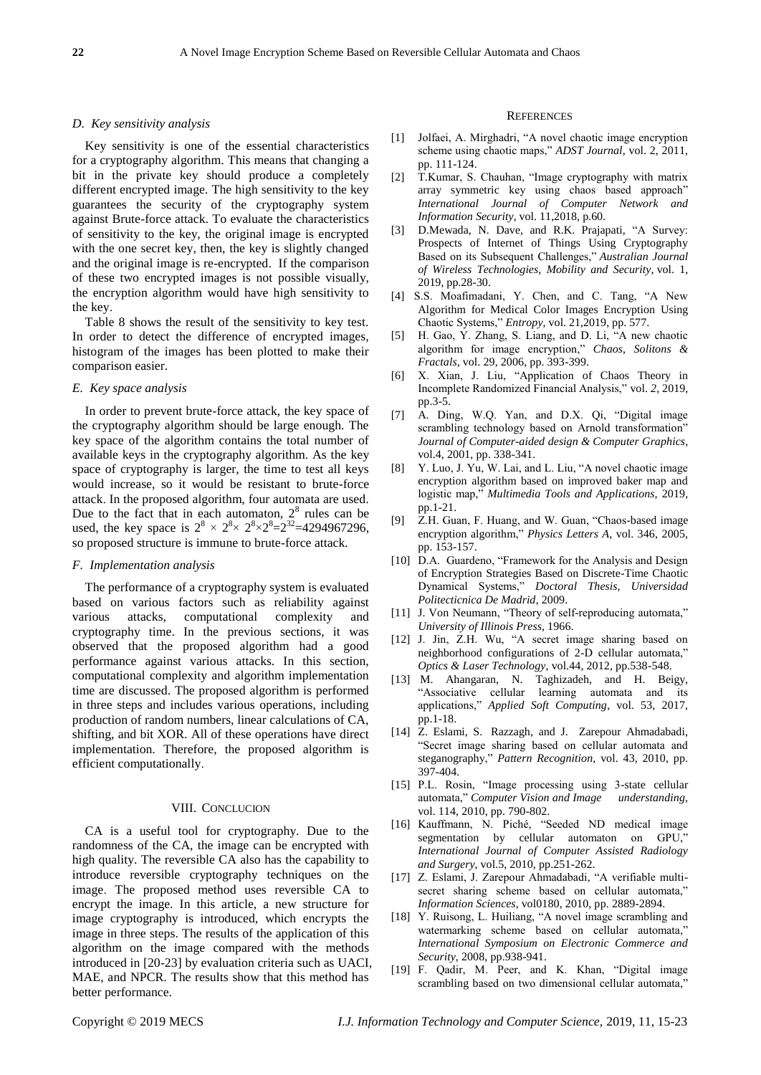### *D. Key sensitivity analysis*

Key sensitivity is one of the essential characteristics for a cryptography algorithm. This means that changing a bit in the private key should produce a completely different encrypted image. The high sensitivity to the key guarantees the security of the cryptography system against Brute-force attack. To evaluate the characteristics of sensitivity to the key, the original image is encrypted with the one secret key, then, the key is slightly changed and the original image is re-encrypted. If the comparison of these two encrypted images is not possible visually, the encryption algorithm would have high sensitivity to the key.

Table 8 shows the result of the sensitivity to key test. In order to detect the difference of encrypted images, histogram of the images has been plotted to make their comparison easier.

# *E. Key space analysis*

In order to prevent brute-force attack, the key space of the cryptography algorithm should be large enough. The key space of the algorithm contains the total number of available keys in the cryptography algorithm. As the key space of cryptography is larger, the time to test all keys would increase, so it would be resistant to brute-force attack. In the proposed algorithm, four automata are used. Due to the fact that in each automaton,  $2<sup>8</sup>$  rules can be used, the key space is  $2^8 \times 2^8 \times 2^8 \times 2^8 = 2^{32} = 4294967296$ , so proposed structure is immune to brute-force attack.

### *F. Implementation analysis*

The performance of a cryptography system is evaluated based on various factors such as reliability against various attacks, computational complexity and cryptography time. In the previous sections, it was observed that the proposed algorithm had a good performance against various attacks. In this section, computational complexity and algorithm implementation time are discussed. The proposed algorithm is performed in three steps and includes various operations, including production of random numbers, linear calculations of CA, shifting, and bit XOR. All of these operations have direct implementation. Therefore, the proposed algorithm is efficient computationally.

#### VIII. CONCLUCION

CA is a useful tool for cryptography. Due to the randomness of the CA, the image can be encrypted with high quality. The reversible CA also has the capability to introduce reversible cryptography techniques on the image. The proposed method uses reversible CA to encrypt the image. In this article, a new structure for image cryptography is introduced, which encrypts the image in three steps. The results of the application of this algorithm on the image compared with the methods introduced in [20-23] by evaluation criteria such as UACI, MAE, and NPCR. The results show that this method has better performance.

#### **REFERENCES**

- [1] Jolfaei, A. Mirghadri, "A novel chaotic image encryption scheme using chaotic maps," *ADST Journal*, vol. 2, 2011, pp. 111-124.
- [2] T.Kumar, S. Chauhan, "Image cryptography with matrix array symmetric key using chaos based approach" *International Journal of Computer Network and Information Security*, vol. 11,2018, p.60.
- [3] D.Mewada, N. Dave, and R.K. Prajapati, "A Survey: Prospects of Internet of Things Using Cryptography Based on its Subsequent Challenges," *Australian Journal of Wireless Technologies, Mobility and Security*, vol. 1, 2019, pp.28-30.
- [4] S.S. Moafimadani, Y. Chen, and C. Tang, "A New Algorithm for Medical Color Images Encryption Using Chaotic Systems," *Entropy*, vol. 21,2019, pp. 577.
- [5] H. Gao, Y. Zhang, S. Liang, and D. Li, "A new chaotic algorithm for image encryption," *Chaos, Solitons & Fractals*, vol. 29, 2006, pp. 393-399.
- [6] X. Xian, J. Liu, "Application of Chaos Theory in Incomplete Randomized Financial Analysis," vol. *2*, 2019, pp.3-5.
- [7] A. Ding, W.Q. Yan, and D.X. Qi, "Digital image scrambling technology based on Arnold transformation" *Journal of Computer-aided design & Computer Graphics*, vol.4, 2001, pp. 338-341.
- [8] Y. Luo, J. Yu, W. Lai, and L. Liu, "A novel chaotic image encryption algorithm based on improved baker map and logistic map," *Multimedia Tools and Applications,* 2019, pp.1-21.
- [9] Z.H. Guan, F. Huang, and W. Guan, "Chaos-based image encryption algorithm," *Physics Letters A*, vol. 346, 2005, pp. 153-157.
- [10] D.A. Guardeno, "Framework for the Analysis and Design of Encryption Strategies Based on Discrete-Time Chaotic Dynamical Systems," *Doctoral Thesis, Universidad Politecticnica De Madrid*, 2009.
- [11] J. Von Neumann, "Theory of self-reproducing automata," *University of Illinois Press*, 1966.
- [12] J. Jin, Z.H. Wu, "A secret image sharing based on neighborhood configurations of 2-D cellular automata," *Optics & Laser Technology*, vol.44, 2012, pp.538-548.
- [13] M. Ahangaran, N. Taghizadeh, and H. Beigy, "Associative cellular learning automata and its applications," *Applied Soft Computing*, vol. 53, 2017, pp.1-18.
- [14] Z. Eslami, S. Razzagh, and J. Zarepour Ahmadabadi, "Secret image sharing based on cellular automata and steganography," *Pattern Recognition,* vol. 43, 2010, pp. 397-404.
- [15] P.L. Rosin, "Image processing using 3-state cellular automata," *Computer Vision and Image understanding,* vol. 114, 2010, pp. 790-802.
- [16] Kauffmann, N. Piché, "Seeded ND medical image segmentation by cellular automaton on GPU," *International Journal of Computer Assisted Radiology and Surgery*, vol.5, 2010, pp.251-262.
- [17] Z. Eslami, J. Zarepour Ahmadabadi, "A verifiable multisecret sharing scheme based on cellular automata," *Information Sciences*, vol0180, 2010, pp. 2889-2894.
- [18] Y. Ruisong, L. Huiliang, "A novel image scrambling and watermarking scheme based on cellular automata," *International Symposium on Electronic Commerce and Security*, 2008, pp.938-941.
- [19] F. Qadir, M. Peer, and K. Khan, "Digital image scrambling based on two dimensional cellular automata,"